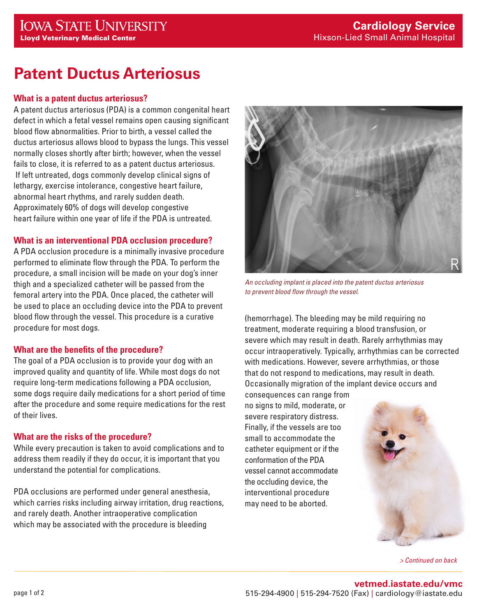# **Patent Ductus Arteriosus**

#### **What is a patent ductus arteriosus?**

A patent ductus arteriosus (PDA) is a common congenital heart defect in which a fetal vessel remains open causing significant blood flow abnormalities. Prior to birth, a vessel called the ductus arteriosus allows blood to bypass the lungs. This vessel normally closes shortly after birth; however, when the vessel fails to close, it is referred to as a patent ductus arteriosus. If left untreated, dogs commonly develop clinical signs of lethargy, exercise intolerance, congestive heart failure, abnormal heart rhythms, and rarely sudden death. Approximately 60% of dogs will develop congestive heart failure within one year of life if the PDA is untreated.

#### **What is an interventional PDA occlusion procedure?**

A PDA occlusion procedure is a minimally invasive procedure performed to eliminate flow through the PDA. To perform the procedure, a small incision will be made on your dog's inner thigh and a specialized catheter will be passed from the femoral artery into the PDA. Once placed, the catheter will be used to place an occluding device into the PDA to prevent blood flow through the vessel. This procedure is a curative procedure for most dogs.

# **What are the benefits of the procedure?**

The goal of a PDA occlusion is to provide your dog with an improved quality and quantity of life. While most dogs do not require long-term medications following a PDA occlusion, some dogs require daily medications for a short period of time after the procedure and some require medications for the rest of their lives.

# **What are the risks of the procedure?**

While every precaution is taken to avoid complications and to address them readily if they do occur, it is important that you understand the potential for complications.

PDA occlusions are performed under general anesthesia, which carries risks including airway irritation, drug reactions, and rarely death. Another intraoperative complication which may be associated with the procedure is bleeding



*An occluding implant is placed into the patent ductus arteriosus to prevent blood flow through the vessel.*

(hemorrhage). The bleeding may be mild requiring no treatment, moderate requiring a blood transfusion, or severe which may result in death. Rarely arrhythmias may occur intraoperatively. Typically, arrhythmias can be corrected with medications. However, severe arrhythmias, or those that do not respond to medications, may result in death. Occasionally migration of the implant device occurs and

consequences can range from no signs to mild, moderate, or severe respiratory distress. Finally, if the vessels are too small to accommodate the catheter equipment or if the conformation of the PDA vessel cannot accommodate the occluding device, the interventional procedure may need to be aborted.



*> Continued on back*